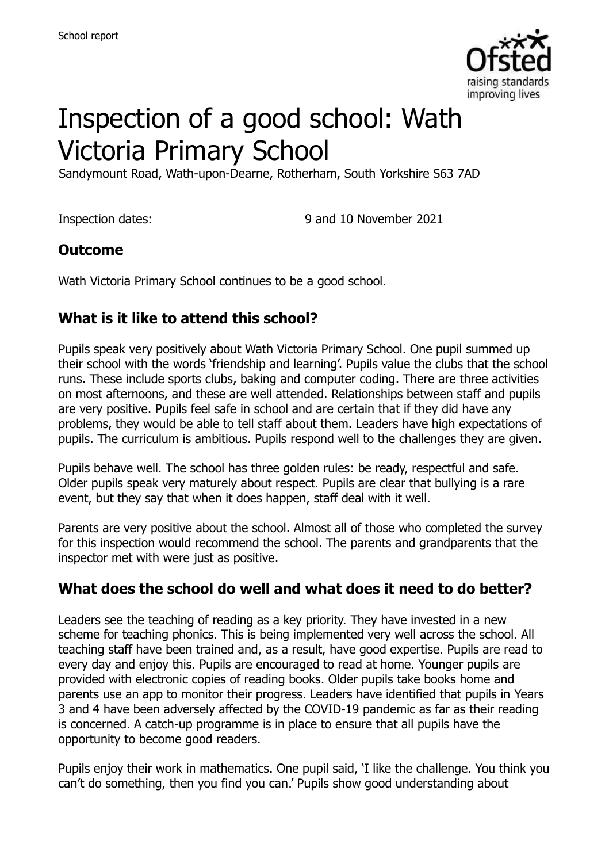

# Inspection of a good school: Wath Victoria Primary School

Sandymount Road, Wath-upon-Dearne, Rotherham, South Yorkshire S63 7AD

Inspection dates: 9 and 10 November 2021

#### **Outcome**

Wath Victoria Primary School continues to be a good school.

# **What is it like to attend this school?**

Pupils speak very positively about Wath Victoria Primary School. One pupil summed up their school with the words 'friendship and learning'. Pupils value the clubs that the school runs. These include sports clubs, baking and computer coding. There are three activities on most afternoons, and these are well attended. Relationships between staff and pupils are very positive. Pupils feel safe in school and are certain that if they did have any problems, they would be able to tell staff about them. Leaders have high expectations of pupils. The curriculum is ambitious. Pupils respond well to the challenges they are given.

Pupils behave well. The school has three golden rules: be ready, respectful and safe. Older pupils speak very maturely about respect. Pupils are clear that bullying is a rare event, but they say that when it does happen, staff deal with it well.

Parents are very positive about the school. Almost all of those who completed the survey for this inspection would recommend the school. The parents and grandparents that the inspector met with were just as positive.

# **What does the school do well and what does it need to do better?**

Leaders see the teaching of reading as a key priority. They have invested in a new scheme for teaching phonics. This is being implemented very well across the school. All teaching staff have been trained and, as a result, have good expertise. Pupils are read to every day and enjoy this. Pupils are encouraged to read at home. Younger pupils are provided with electronic copies of reading books. Older pupils take books home and parents use an app to monitor their progress. Leaders have identified that pupils in Years 3 and 4 have been adversely affected by the COVID-19 pandemic as far as their reading is concerned. A catch-up programme is in place to ensure that all pupils have the opportunity to become good readers.

Pupils enjoy their work in mathematics. One pupil said, 'I like the challenge. You think you can't do something, then you find you can.' Pupils show good understanding about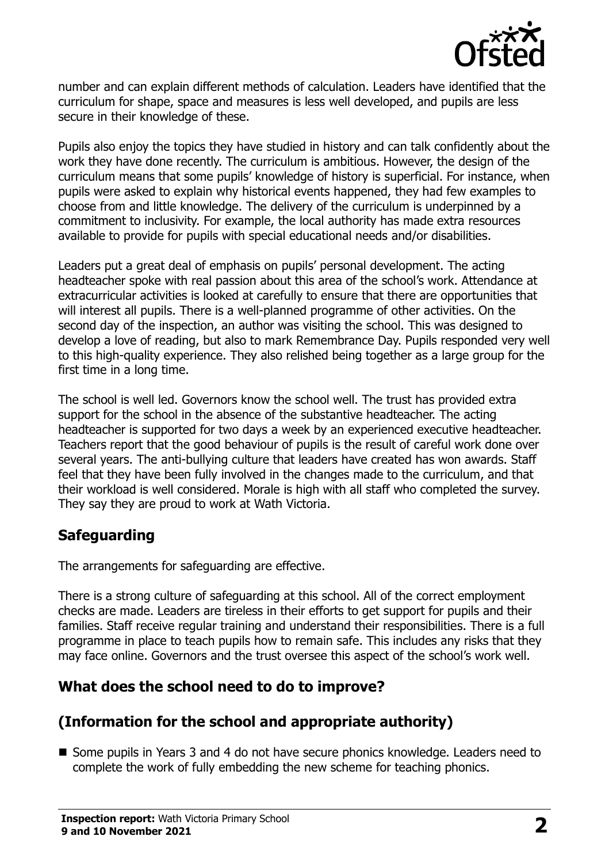

number and can explain different methods of calculation. Leaders have identified that the curriculum for shape, space and measures is less well developed, and pupils are less secure in their knowledge of these.

Pupils also enjoy the topics they have studied in history and can talk confidently about the work they have done recently. The curriculum is ambitious. However, the design of the curriculum means that some pupils' knowledge of history is superficial. For instance, when pupils were asked to explain why historical events happened, they had few examples to choose from and little knowledge. The delivery of the curriculum is underpinned by a commitment to inclusivity. For example, the local authority has made extra resources available to provide for pupils with special educational needs and/or disabilities.

Leaders put a great deal of emphasis on pupils' personal development. The acting headteacher spoke with real passion about this area of the school's work. Attendance at extracurricular activities is looked at carefully to ensure that there are opportunities that will interest all pupils. There is a well-planned programme of other activities. On the second day of the inspection, an author was visiting the school. This was designed to develop a love of reading, but also to mark Remembrance Day. Pupils responded very well to this high-quality experience. They also relished being together as a large group for the first time in a long time.

The school is well led. Governors know the school well. The trust has provided extra support for the school in the absence of the substantive headteacher. The acting headteacher is supported for two days a week by an experienced executive headteacher. Teachers report that the good behaviour of pupils is the result of careful work done over several years. The anti-bullying culture that leaders have created has won awards. Staff feel that they have been fully involved in the changes made to the curriculum, and that their workload is well considered. Morale is high with all staff who completed the survey. They say they are proud to work at Wath Victoria.

# **Safeguarding**

The arrangements for safeguarding are effective.

There is a strong culture of safeguarding at this school. All of the correct employment checks are made. Leaders are tireless in their efforts to get support for pupils and their families. Staff receive regular training and understand their responsibilities. There is a full programme in place to teach pupils how to remain safe. This includes any risks that they may face online. Governors and the trust oversee this aspect of the school's work well.

# **What does the school need to do to improve?**

# **(Information for the school and appropriate authority)**

■ Some pupils in Years 3 and 4 do not have secure phonics knowledge. Leaders need to complete the work of fully embedding the new scheme for teaching phonics.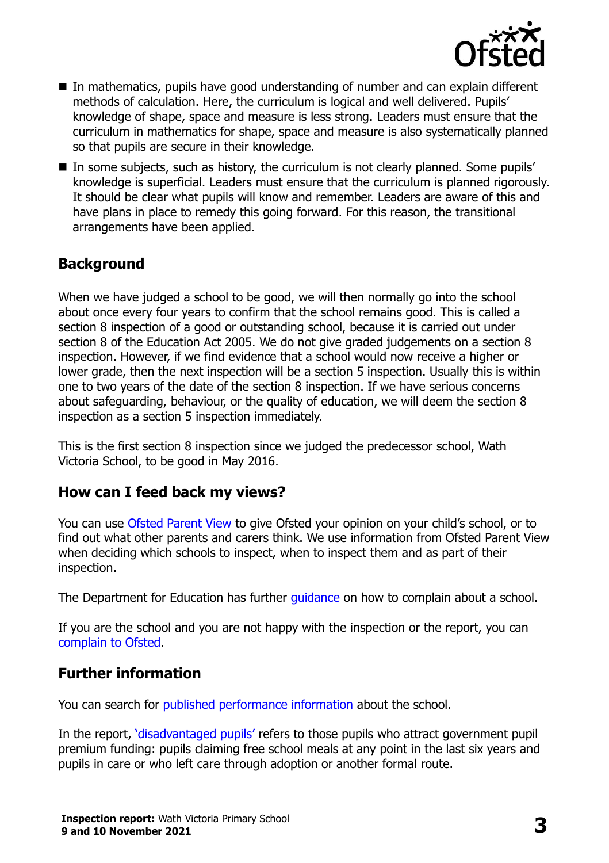

- In mathematics, pupils have good understanding of number and can explain different methods of calculation. Here, the curriculum is logical and well delivered. Pupils' knowledge of shape, space and measure is less strong. Leaders must ensure that the curriculum in mathematics for shape, space and measure is also systematically planned so that pupils are secure in their knowledge.
- In some subjects, such as history, the curriculum is not clearly planned. Some pupils' knowledge is superficial. Leaders must ensure that the curriculum is planned rigorously. It should be clear what pupils will know and remember. Leaders are aware of this and have plans in place to remedy this going forward. For this reason, the transitional arrangements have been applied.

### **Background**

When we have judged a school to be good, we will then normally go into the school about once every four years to confirm that the school remains good. This is called a section 8 inspection of a good or outstanding school, because it is carried out under section 8 of the Education Act 2005. We do not give graded judgements on a section 8 inspection. However, if we find evidence that a school would now receive a higher or lower grade, then the next inspection will be a section 5 inspection. Usually this is within one to two years of the date of the section 8 inspection. If we have serious concerns about safeguarding, behaviour, or the quality of education, we will deem the section 8 inspection as a section 5 inspection immediately.

This is the first section 8 inspection since we judged the predecessor school, Wath Victoria School, to be good in May 2016.

#### **How can I feed back my views?**

You can use [Ofsted Parent View](https://parentview.ofsted.gov.uk/) to give Ofsted your opinion on your child's school, or to find out what other parents and carers think. We use information from Ofsted Parent View when deciding which schools to inspect, when to inspect them and as part of their inspection.

The Department for Education has further quidance on how to complain about a school.

If you are the school and you are not happy with the inspection or the report, you can [complain to Ofsted.](https://www.gov.uk/complain-ofsted-report)

#### **Further information**

You can search for [published performance information](http://www.compare-school-performance.service.gov.uk/) about the school.

In the report, '[disadvantaged pupils](http://www.gov.uk/guidance/pupil-premium-information-for-schools-and-alternative-provision-settings)' refers to those pupils who attract government pupil premium funding: pupils claiming free school meals at any point in the last six years and pupils in care or who left care through adoption or another formal route.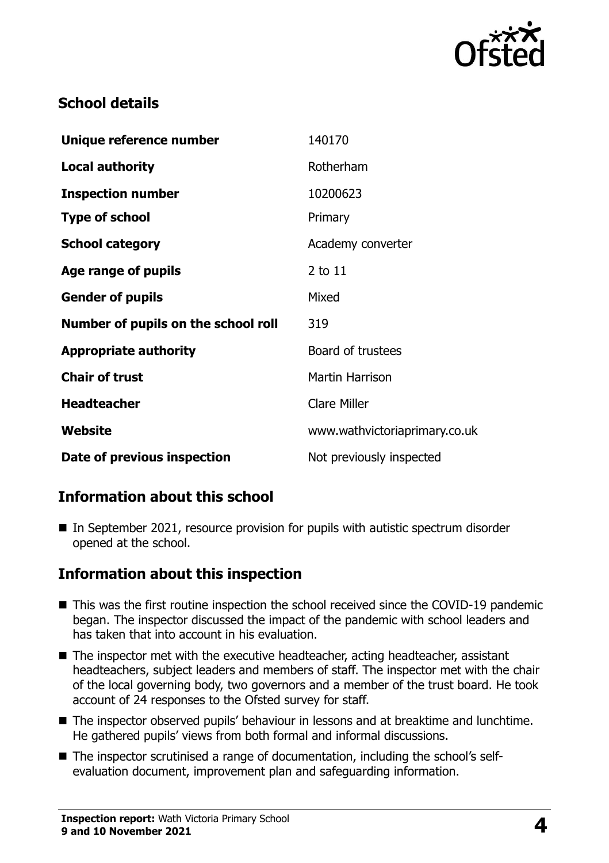

# **School details**

| Unique reference number             | 140170                        |
|-------------------------------------|-------------------------------|
| <b>Local authority</b>              | Rotherham                     |
| <b>Inspection number</b>            | 10200623                      |
| <b>Type of school</b>               | Primary                       |
| <b>School category</b>              | Academy converter             |
| Age range of pupils                 | 2 to 11                       |
| <b>Gender of pupils</b>             | Mixed                         |
| Number of pupils on the school roll | 319                           |
| <b>Appropriate authority</b>        | Board of trustees             |
| <b>Chair of trust</b>               | <b>Martin Harrison</b>        |
| <b>Headteacher</b>                  | <b>Clare Miller</b>           |
| Website                             | www.wathvictoriaprimary.co.uk |
| Date of previous inspection         | Not previously inspected      |

# **Information about this school**

■ In September 2021, resource provision for pupils with autistic spectrum disorder opened at the school.

# **Information about this inspection**

- This was the first routine inspection the school received since the COVID-19 pandemic began. The inspector discussed the impact of the pandemic with school leaders and has taken that into account in his evaluation.
- The inspector met with the executive headteacher, acting headteacher, assistant headteachers, subject leaders and members of staff. The inspector met with the chair of the local governing body, two governors and a member of the trust board. He took account of 24 responses to the Ofsted survey for staff.
- The inspector observed pupils' behaviour in lessons and at breaktime and lunchtime. He gathered pupils' views from both formal and informal discussions.
- The inspector scrutinised a range of documentation, including the school's selfevaluation document, improvement plan and safeguarding information.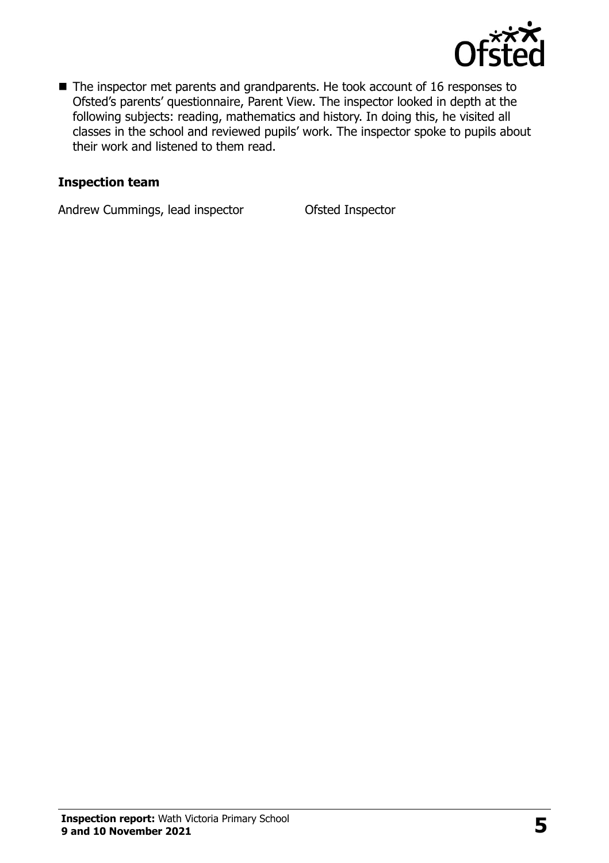

■ The inspector met parents and grandparents. He took account of 16 responses to Ofsted's parents' questionnaire, Parent View. The inspector looked in depth at the following subjects: reading, mathematics and history. In doing this, he visited all classes in the school and reviewed pupils' work. The inspector spoke to pupils about their work and listened to them read.

#### **Inspection team**

Andrew Cummings, lead inspector **Ofsted Inspector**